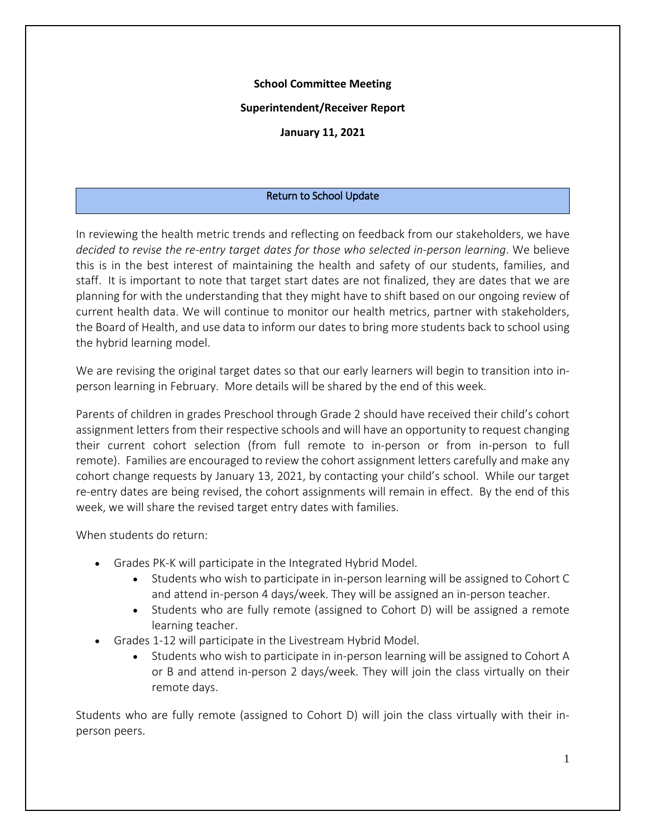## **School Committee Meeting**

### **Superintendent/Receiver Report**

**January 11, 2021**

## Return to School Update

In reviewing the health metric trends and reflecting on feedback from our stakeholders, we have *decided to revise the re-entry target dates for those who selected in-person learning*. We believe this is in the best interest of maintaining the health and safety of our students, families, and staff. It is important to note that target start dates are not finalized, they are dates that we are planning for with the understanding that they might have to shift based on our ongoing review of current health data. We will continue to monitor our health metrics, partner with stakeholders, the Board of Health, and use data to inform our dates to bring more students back to school using the hybrid learning model.

We are revising the original target dates so that our early learners will begin to transition into inperson learning in February. More details will be shared by the end of this week.

Parents of children in grades Preschool through Grade 2 should have received their child's cohort assignment letters from their respective schools and will have an opportunity to request changing their current cohort selection (from full remote to in-person or from in-person to full remote). Families are encouraged to review the cohort assignment letters carefully and make any cohort change requests by January 13, 2021, by contacting your child's school. While our target re-entry dates are being revised, the cohort assignments will remain in effect. By the end of this week, we will share the revised target entry dates with families.

When students do return:

- Grades PK-K will participate in the Integrated Hybrid Model.
	- Students who wish to participate in in-person learning will be assigned to Cohort C and attend in-person 4 days/week. They will be assigned an in-person teacher.
	- Students who are fully remote (assigned to Cohort D) will be assigned a remote learning teacher.
- Grades 1-12 will participate in the Livestream Hybrid Model.
	- Students who wish to participate in in-person learning will be assigned to Cohort A or B and attend in-person 2 days/week. They will join the class virtually on their remote days.

Students who are fully remote (assigned to Cohort D) will join the class virtually with their inperson peers.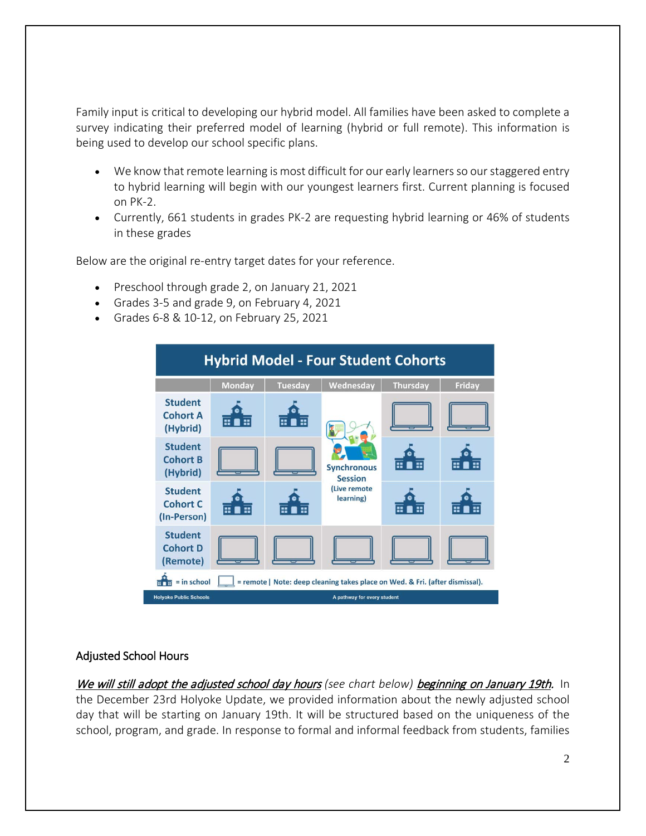Family input is critical to developing our hybrid model. All families have been asked to complete a survey indicating their preferred model of learning (hybrid or full remote). This information is being used to develop our school specific plans.

- We know that remote learning is most difficult for our early learners so our staggered entry to hybrid learning will begin with our youngest learners first. Current planning is focused on PK-2.
- Currently, 661 students in grades PK-2 are requesting hybrid learning or 46% of students in these grades

Below are the original re-entry target dates for your reference.

- Preschool through grade 2, on January 21, 2021
- Grades 3-5 and grade 9, on February 4, 2021
- Grades 6-8 & 10-12, on February 25, 2021

| <b>Hybrid Model - Four Student Cohorts</b>                                                    |               |         |                                                                   |                 |               |  |
|-----------------------------------------------------------------------------------------------|---------------|---------|-------------------------------------------------------------------|-----------------|---------------|--|
|                                                                                               | <b>Monday</b> | Tuesday | Wednesday                                                         | <b>Thursday</b> | <b>Friday</b> |  |
| <b>Student</b><br><b>Cohort A</b><br>(Hybrid)                                                 | E<br>HO.      | E<br>H. | <b>Synchronous</b><br><b>Session</b><br>(Live remote<br>learning) |                 |               |  |
| <b>Student</b><br><b>Cohort B</b><br>(Hybrid)                                                 |               |         |                                                                   | E.<br>π         | Œ<br>Ξ        |  |
| <b>Student</b><br><b>Cohort C</b><br>(In-Person)                                              | 6 <b>a</b> 6  | H<br>Œ. |                                                                   | H<br>E          | æ             |  |
| <b>Student</b><br><b>Cohort D</b><br>(Remote)                                                 |               |         |                                                                   |                 |               |  |
| $=$ in school<br>= remote   Note: deep cleaning takes place on Wed. & Fri. (after dismissal). |               |         |                                                                   |                 |               |  |
| <b>Holyoke Public Schools</b><br>A pathway for every student                                  |               |         |                                                                   |                 |               |  |

# Adjusted School Hours

We will still adopt the adjusted school day hours (see chart below) beginning on January 19th. In the December 23rd Holyoke Update, we provided information about the newly adjusted school day that will be starting on January 19th. It will be structured based on the uniqueness of the school, program, and grade. In response to formal and informal feedback from students, families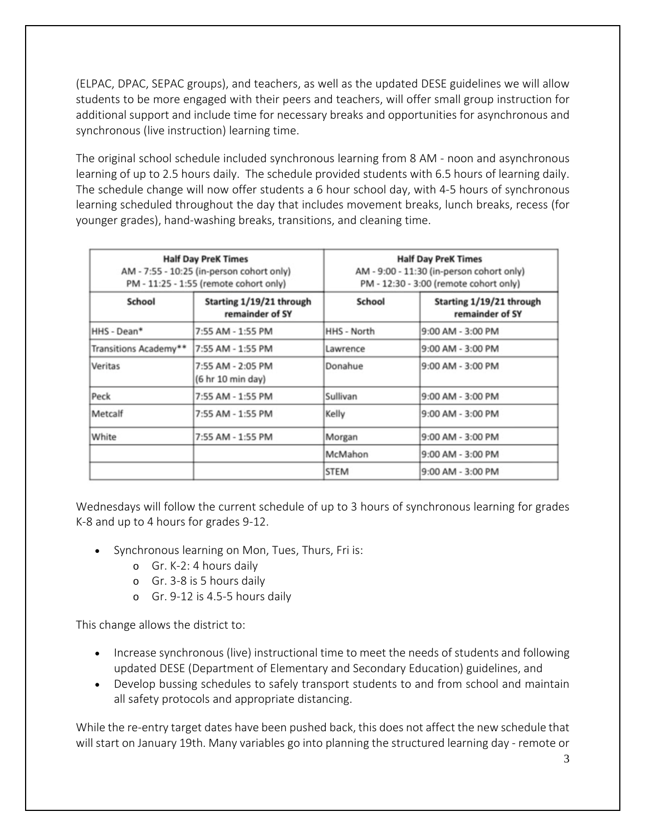(ELPAC, DPAC, SEPAC groups), and teachers, as well as the updated DESE guidelines we will allow students to be more engaged with their peers and teachers, will offer small group instruction for additional support and include time for necessary breaks and opportunities for asynchronous and synchronous (live instruction) learning time.

The original school schedule included synchronous learning from 8 AM - noon and asynchronous learning of up to 2.5 hours daily. The schedule provided students with 6.5 hours of learning daily. The schedule change will now offer students a 6 hour school day, with 4-5 hours of synchronous learning scheduled throughout the day that includes movement breaks, lunch breaks, recess (for younger grades), hand-washing breaks, transitions, and cleaning time.

| <b>Half Day PreK Times</b><br>AM - 7:55 - 10:25 (in-person cohort only)<br>PM - 11:25 - 1:55 (remote cohort only) |                                             | <b>Half Day PreK Times</b><br>AM - 9:00 - 11:30 (in-person cohort only)<br>PM - 12:30 - 3:00 (remote cohort only) |                                             |
|-------------------------------------------------------------------------------------------------------------------|---------------------------------------------|-------------------------------------------------------------------------------------------------------------------|---------------------------------------------|
| School                                                                                                            | Starting 1/19/21 through<br>remainder of SY | School                                                                                                            | Starting 1/19/21 through<br>remainder of SY |
| HHS - Dean*                                                                                                       | 7:55 AM - 1:55 PM                           | HHS - North                                                                                                       | 9:00 AM - 3:00 PM                           |
| Transitions Academy**                                                                                             | 7:55 AM - 1:55 PM                           | Lawrence                                                                                                          | 9:00 AM - 3:00 PM                           |
| Veritas                                                                                                           | 7:55 AM - 2:05 PM<br>(6 hr 10 min day)      | Donahue                                                                                                           | 9:00 AM - 3:00 PM                           |
| Peck                                                                                                              | 7:55 AM - 1:55 PM                           | Sullivan                                                                                                          | 9:00 AM - 3:00 PM                           |
| Metcalf                                                                                                           | 7:55 AM - 1:55 PM                           | Kelly                                                                                                             | 9:00 AM - 3:00 PM                           |
| White                                                                                                             | 7:55 AM - 1:55 PM                           | Morgan                                                                                                            | 9:00 AM - 3:00 PM                           |
|                                                                                                                   |                                             | McMahon                                                                                                           | 9:00 AM - 3:00 PM                           |
|                                                                                                                   |                                             | <b>STEM</b>                                                                                                       | 9:00 AM - 3:00 PM                           |

Wednesdays will follow the current schedule of up to 3 hours of synchronous learning for grades K-8 and up to 4 hours for grades 9-12.

- Synchronous learning on Mon, Tues, Thurs, Fri is:
	- o Gr. K-2: 4 hours daily
	- o Gr. 3-8 is 5 hours daily
	- o Gr. 9-12 is 4.5-5 hours daily

This change allows the district to:

- Increase synchronous (live) instructional time to meet the needs of students and following updated DESE (Department of Elementary and Secondary Education) guidelines, and
- Develop bussing schedules to safely transport students to and from school and maintain all safety protocols and appropriate distancing.

While the re-entry target dates have been pushed back, this does not affect the new schedule that will start on January 19th. Many variables go into planning the structured learning day - remote or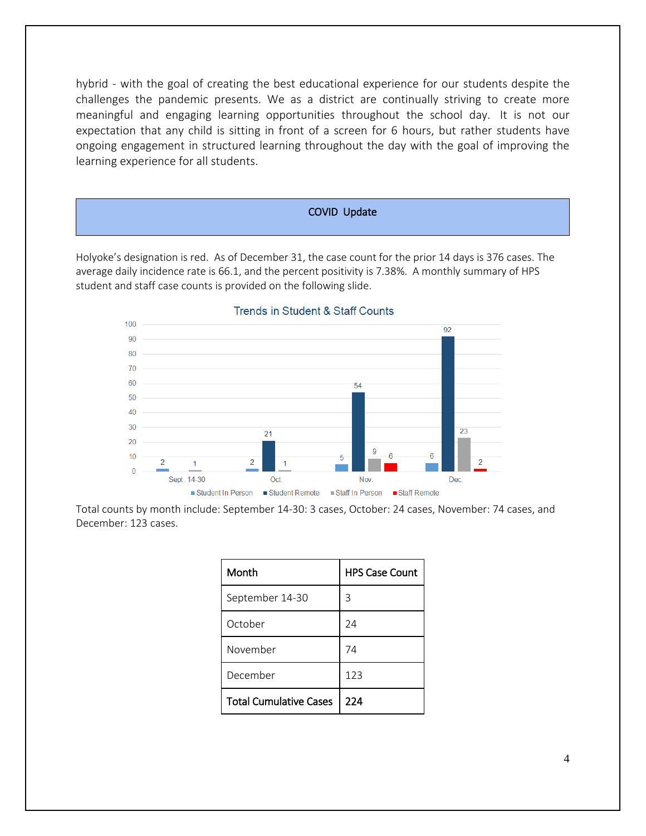hybrid - with the goal of creating the best educational experience for our students despite the challenges the pandemic presents. We as a district are continually striving to create more meaningful and engaging learning opportunities throughout the school day. It is not our expectation that any child is sitting in front of a screen for 6 hours, but rather students have ongoing engagement in structured learning throughout the day with the goal of improving the learning experience for all students.

#### COVID Update

Holyoke's designation is red. As of December 31, the case count for the prior 14 days is 376 cases. The average daily incidence rate is 66.1, and the percent positivity is 7.38%. A monthly summary of HPS student and staff case counts is provided on the following slide.



**Trends in Student & Staff Counts** 

Total counts by month include: September 14-30: 3 cases, October: 24 cases, November: 74 cases, and December: 123 cases.

| Month                         | <b>HPS Case Count</b> |  |
|-------------------------------|-----------------------|--|
| September 14-30               | 3                     |  |
| October                       | 74                    |  |
| November                      | 74                    |  |
| December                      | 123                   |  |
| <b>Total Cumulative Cases</b> | 224                   |  |